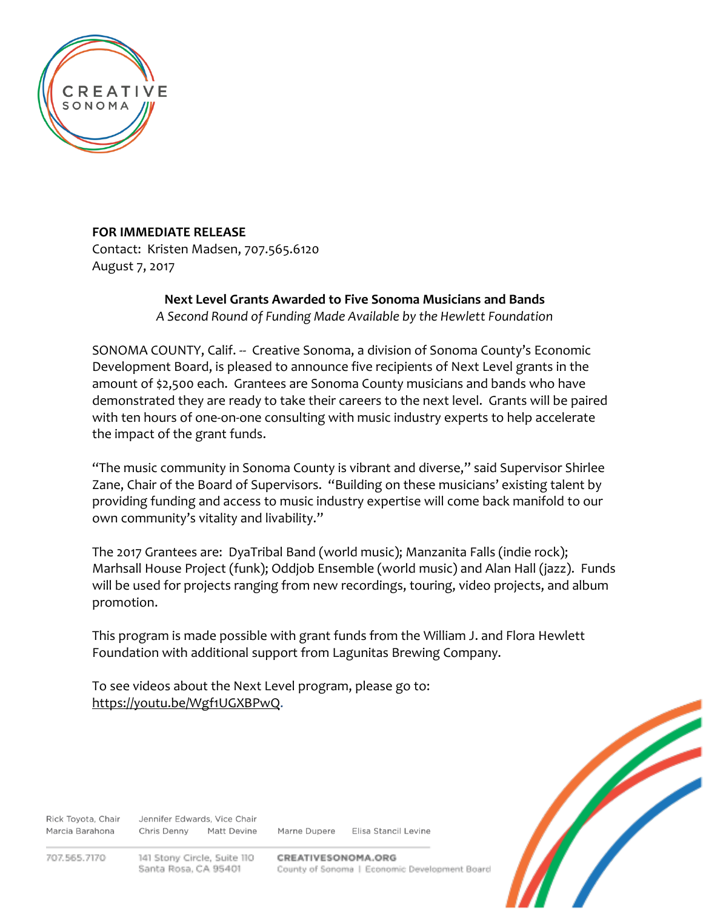

## **FOR IMMEDIATE RELEASE**

Contact: Kristen Madsen, 707.565.6120 August 7, 2017

## **Next Level Grants Awarded to Five Sonoma Musicians and Bands**

*A Second Round of Funding Made Available by the Hewlett Foundation*

SONOMA COUNTY, Calif. -- Creative Sonoma, a division of Sonoma County's Economic Development Board, is pleased to announce five recipients of Next Level grants in the amount of \$2,500 each. Grantees are Sonoma County musicians and bands who have demonstrated they are ready to take their careers to the next level. Grants will be paired with ten hours of one-on-one consulting with music industry experts to help accelerate the impact of the grant funds.

"The music community in Sonoma County is vibrant and diverse," said Supervisor Shirlee Zane, Chair of the Board of Supervisors. "Building on these musicians' existing talent by providing funding and access to music industry expertise will come back manifold to our own community's vitality and livability."

The 2017 Grantees are: DyaTribal Band (world music); Manzanita Falls (indie rock); Marhsall House Project (funk); Oddjob Ensemble (world music) and Alan Hall (jazz). Funds will be used for projects ranging from new recordings, touring, video projects, and album promotion.

This program is made possible with grant funds from the William J. and Flora Hewlett Foundation with additional support from Lagunitas Brewing Company.

To see videos about the Next Level program, please go to: [https://youtu.be/Wgf1UGXBPwQ.](https://youtu.be/Wgf1UGXBPwQ)



Rick Toyota, Chair Marcia Barahona Chris Denny

Jennifer Edwards, Vice Chair **Matt Devine** 

Marne Dupere Elisa Stancil Levine

707.565.7170

141 Stony Circle, Suite 110 Santa Rosa, CA 95401

CREATIVESONOMA.ORG County of Sonoma | Economic Development Board